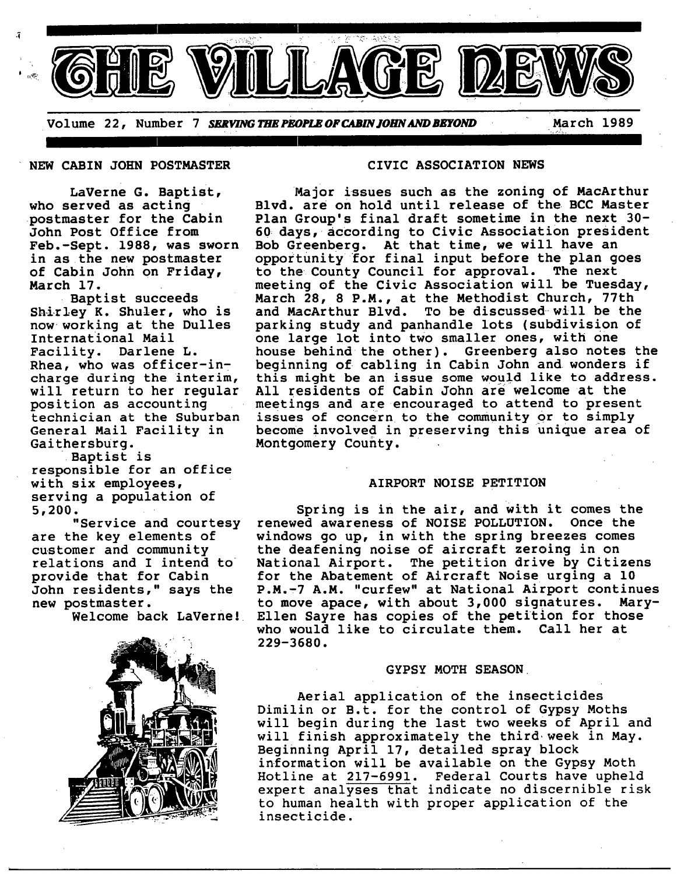

Volume 22, Number 7 *SERVING THE PEOPLE OF CABIN JOHN AND BEYOND* **March 1989** 

**NEW CABIN JOHN POSTMASTER** CIVIC ASSOCIATION NEWS

LaVerne G. Baptist, who served as acting postmaster for the Cabin John Post Office from Feb.-Sept. 1988, was sworn in as the new postmaster of Cabin John on Friday, March 17.

Baptist succeeds Shirley K. Shuler, who is now working at the Dulles International Mail Facility. Darlene L. Rhea, who was officer-incharge during the interim, will return to her regular position as accounting technician at the Suburban General Mail Facility in Gaithersburg.

Baptist is responsible for an office with six employees, serving a population of 5,200.

"Service and courtesy are the key elements of customer and community relations and I intend to provide that for Cabin John residents," says the new postmaster.<br>Welcome back LaVerne!



Major issues such as the zoning of MacArthur Blvd. are on hold until release of the BCC Master Plan Group's final draft sometime in the next 30- 60 days, according to Civic Association president Bob Greenberg. At that time, we will have an opportunity for final input before the plan goes to the County Council for approval. The next meeting of the Civic Association will be Tuesday, March 28, 8 P.M., at the Methodist Church, 77th and MacArthur Blvd. To be discussed-will be the parking study and panhandle lots (subdivision of one large lot into two smaller ones, with one house behind the other). Greenberg also notes the beginning of cabling in Cabin John and wonders if this might be an issue some would like to address. All residents of Cabin John are welcome at the meetings and are encouraged to attend to present issues of concern to the community or to simply become involved in preserving this unique area of Montgomery County.

## **AIRPORT NOISE PETITION**

Spring is in the air, and with it comes the renewed awareness of NOISE POLLUTION. Once the windows go up, in with the spring breezes comes the deafening noise of aircraft zeroing in on National Airport. The petition drive by Citizens for the Abatement of Aircraft Noise urging a 10 P.M.-7 A.M. "curfew" at National Airport continues to move apace, with about 3,000 signatures. Mary-Ellen Sayre has copies of the petition for those who would like to circulate them. Call her at 229-3680.

### GYPSY MOTH SEASON

Aerial application of the insecticides Dimilin or B.t. for the control of Gypsy Moths will begin during the last two weeks of April and will finish approximately the third week in May. Beginning April 17, detailed spray block information will be available on the Gypsy Moth Hotline at 217-6991. Federal Courts have upheld expert analyses that indicate no discernible risk to human health with proper application of the insecticide.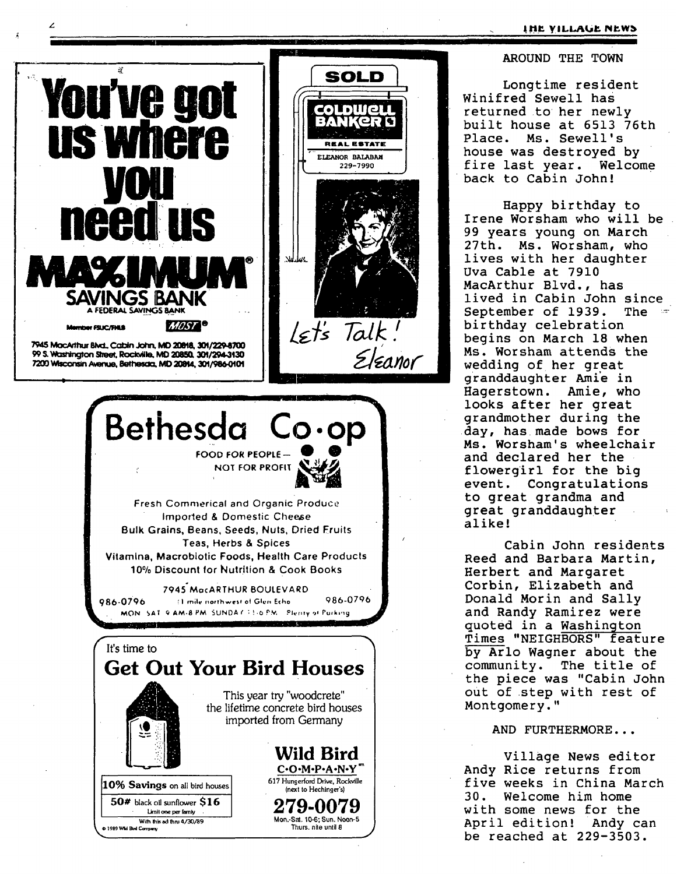#### **IHE VILLAGE NEWS**

## AROUND THE TOWN

Longtime resident Winifred Sewell has returned to her newly built house at 6513 76th Place. Ms. Sewell's house was destroved by fire last year. Welcome back to Cabin John!

Happy birthday to Irene Worsham who will be 99 years young on March 27th. Ms. Worsham, who lives with her daughter Uva Cable at 7910 MacArthur Blvd., has lived in Cabin John since September of 1939. The birthday celebration begins on March 18 when Ms. Worsham attends the wedding of her great granddaughter Amie in Haderstown. Amie, who looks after her great grandmother during the day, has made bows for Ms. Worsham's wheelchair and declared her the flowergirl for the big event. Congratulations to great grandma and great granddaughter alike!

Cabin John residents Reed and Barbara Martin. Herbert and Margaret Corbin, Elizabeth and Donald Morin and Sally and Randy Ramirez were quoted in a Washington Times "NEIGHBORS" feature by Arlo Wagner about the community. The title of the piece was "Cabin John out of step with rest of Montgomery."

# AND FURTHERMORE...

Village News editor Andy Rice returns from five weeks in China March  $30.$ Welcome him home with some news for the April edition! Andy can be reached at 229-3503.

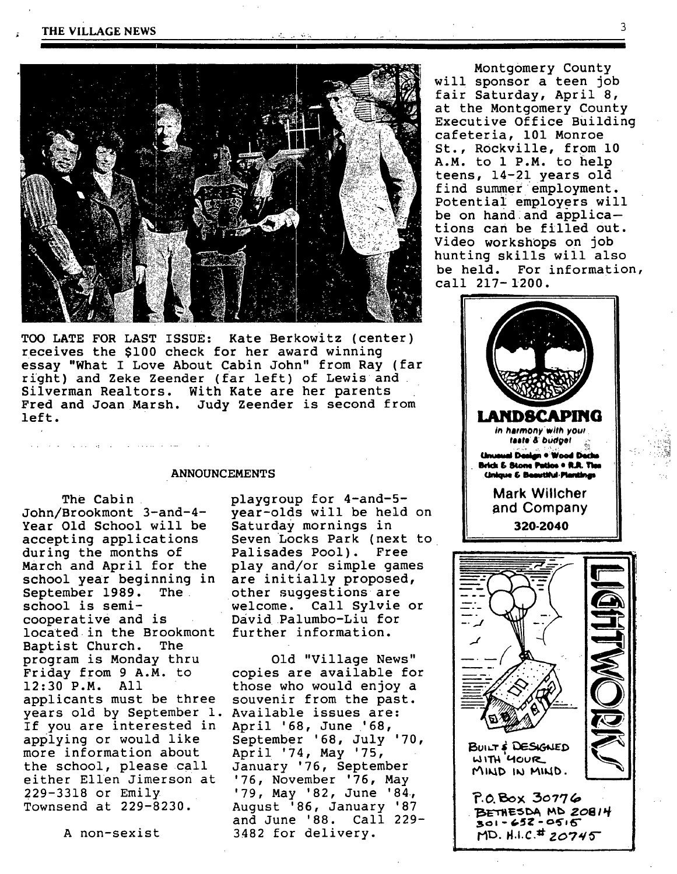

**TOO LATE** FOR LAST ISSUE: Kate Berkowitz (center) receives the \$i00 check for her award winning essay "What I Love About Cabin John" from Ray (far right) and Zeke Zeender (far left) of Lewis and Silverman Realtors. With Kate are her parents Fred and Joan Marsh. Judy Zeender is second from left.

#### **ANNOUNCEMENTS**

The Cabin John/Brookmont 3-and-4- Year Old School will be accepting applications during the months of March and April for the school year beginning in September 1989. The school is semicooperative and is located in the Brookmont Baptist Church. The program is Monday thru Friday from 9 A.M. to 12:30 P.M. All applicants must be three years old by September I. Available issues are: If you are interested in applying or would like more information about the school, please call either Ellen Jimerson at 229-3318 or Emily Townsend at 229-8230.

ستحاط المتعاقبات والتواصي والتعاطيات

A non-sexist

playgroup for 4-and-5 year-olds will be held on saturday mornings in seven Locks Park (next to Palisades Pool). Free play and/or simple games are initially proposed, other suggestions are welcome. Call Sylvie or David Palumbo-Liu for further information.

Old "Village **News"**  copies are available for those who would enjoy a souvenir from the past. April '68, June '68, September '68, July '70, April '74, May '75, January '76, September '76, November '76, May '79, May '82, June '84, August '86, January '87 and June '88. Call 229- 3482 for delivery.

Montgomery County will sponsor a teen job fair Saturday, April 8, at the Montgomery County Executive Office Building cafeteria, 101 Monroe St., Rockville, from 10 A.M. to 1 P.M. to help teens, 14-21 years old find summer employment. Potential employers will be on hand and applications can be filled out. Video workshops on job hunting skills will also be held. For information, call 217-1200.